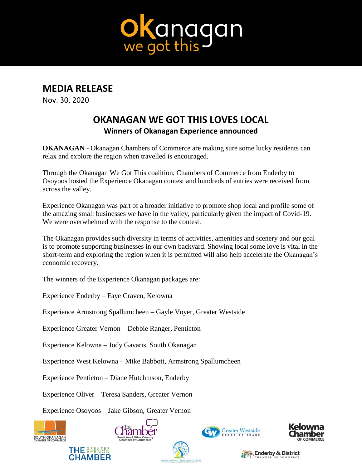

## **MEDIA RELEASE**

Nov. 30, 2020

## **OKANAGAN WE GOT THIS LOVES LOCAL Winners of Okanagan Experience announced**

**OKANAGAN** - Okanagan Chambers of Commerce are making sure some lucky residents can relax and explore the region when travelled is encouraged.

Through the Okanagan We Got This coalition, Chambers of Commerce from Enderby to Osoyoos hosted the Experience Okanagan contest and hundreds of entries were received from across the valley.

Experience Okanagan was part of a broader initiative to promote shop local and profile some of the amazing small businesses we have in the valley, particularly given the impact of Covid-19. We were overwhelmed with the response to the contest.

The Okanagan provides such diversity in terms of activities, amenities and scenery and our goal is to promote supporting businesses in our own backyard. Showing local some love is vital in the short-term and exploring the region when it is permitted will also help accelerate the Okanagan's economic recovery.

The winners of the Experience Okanagan packages are:

Experience Enderby – Faye Craven, Kelowna

Experience Armstrong Spallumcheen – Gayle Voyer, Greater Westside

Experience Greater Vernon – Debbie Ranger, Penticton

Experience Kelowna – Jody Gavaris, South Okanagan

Experience West Kelowna – Mike Babbott, Armstrong Spallumcheen

Experience Penticton – Diane Hutchinson, Enderby

Experience Oliver – Teresa Sanders, Greater Vernon

Experience Osoyoos – Jake Gibson, Greater Vernon

**THE SEEATER** 

**CHAMBER**